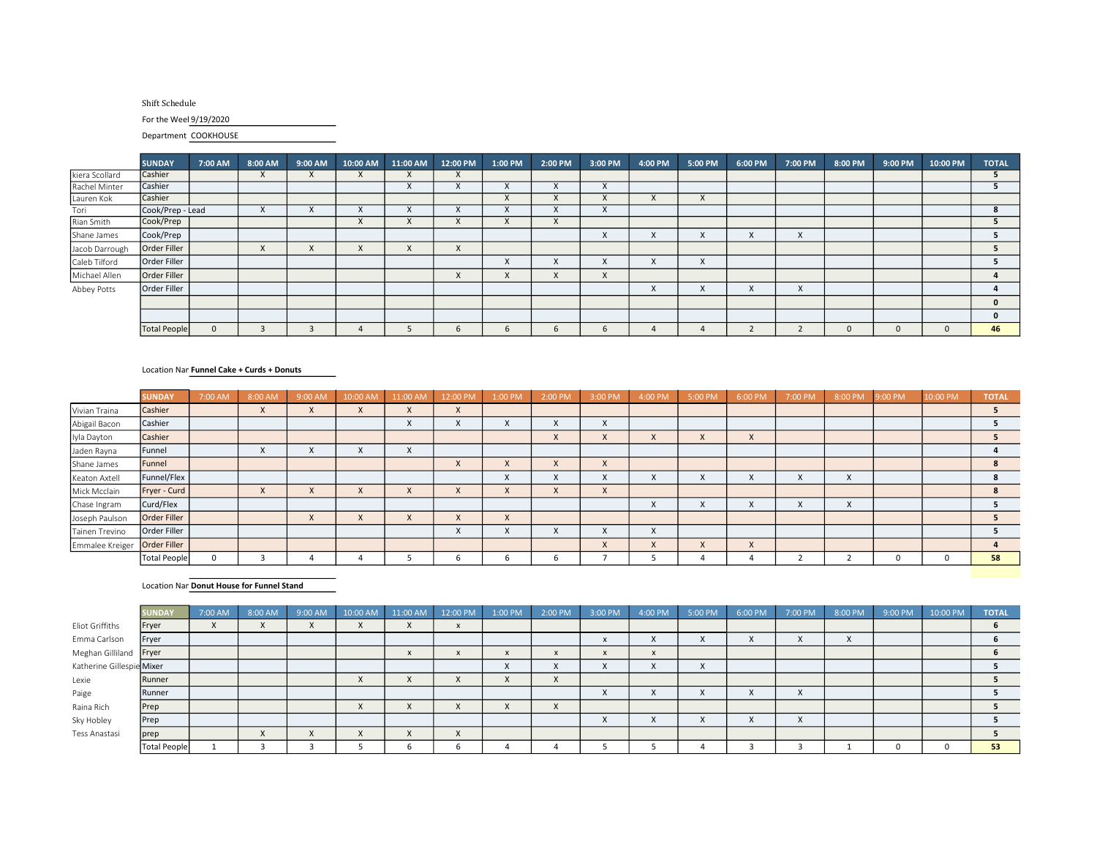# Shift Schedule

For the Weel 9/19/2020

Department COOKHOUSE

|                | <b>SUNDAY</b>    | 7:00 AM  | 8:00 AM                   | 9:00 AM                 | 10:00 AM  | 11:00 AM  | 12:00 PM  | 1:00 PM | 2:00 PM   | 3:00 PM                 | 4:00 PM | 5:00 PM   | 6:00 PM                 | 7:00 PM | 8:00 PM  | 9:00 PM  | 10:00 PM | <b>TOTAL</b>   |
|----------------|------------------|----------|---------------------------|-------------------------|-----------|-----------|-----------|---------|-----------|-------------------------|---------|-----------|-------------------------|---------|----------|----------|----------|----------------|
| kiera Scollard | Cashier          |          | $\lambda$                 | $\lambda$               | $\lambda$ | $\Lambda$ | X         |         |           |                         |         |           |                         |         |          |          |          | $\overline{ }$ |
| Rachel Minter  | Cashier          |          |                           |                         |           | $\Lambda$ | X         | X       | $\lambda$ | X                       |         |           |                         |         |          |          |          | ∍              |
| Lauren Kok     | Cashier          |          |                           |                         |           |           |           | X       | $\lambda$ | $\lambda$               | х       | $\Lambda$ |                         |         |          |          |          |                |
| Tori           | Cook/Prep - Lead |          | $\sim$                    | $\sim$                  |           |           | $\lambda$ | X       | X         | $\lambda$               |         |           |                         |         |          |          |          | 8              |
| Rian Smith     | Cook/Prep        |          |                           |                         | $\lambda$ | $\lambda$ | X         | X       | X         |                         |         |           |                         |         |          |          |          |                |
| Shane James    | Cook/Prep        |          |                           |                         |           |           |           |         |           | $\sqrt{ }$<br>$\lambda$ | х       | $\lambda$ | $\sqrt{ }$<br>$\lambda$ | X       |          |          |          |                |
| Jacob Darrough | Order Filler     |          | $\mathbf{v}$<br>$\lambda$ | $\sqrt{ }$<br>$\lambda$ | x         | $\lambda$ | X         |         |           |                         |         |           |                         |         |          |          |          |                |
| Caleb Tilford  | Order Filler     |          |                           |                         |           |           |           | х       | $\lambda$ | $\lambda$<br>$\lambda$  | х       | X         |                         |         |          |          |          | ,              |
| Michael Allen  | Order Filler     |          |                           |                         |           |           | X         | X       | X         | X                       |         |           |                         |         |          |          |          | $\mathbf{a}$   |
| Abbey Potts    | Order Filler     |          |                           |                         |           |           |           |         |           |                         | X       | $\Lambda$ | $\lambda$               | X       |          |          |          | 4              |
|                |                  |          |                           |                         |           |           |           |         |           |                         |         |           |                         |         |          |          |          |                |
|                |                  |          |                           |                         |           |           |           |         |           |                         |         |           |                         |         |          |          |          | 0              |
|                | Total People     | $\Omega$ |                           |                         |           |           | 6         | 6       | 6         | $\mathfrak{b}$          |         |           |                         |         | $\Omega$ | $\Omega$ |          | 46             |

## Location Nar Funnel Cake + Curds + Donuts

|                 | <b>SUNDAY</b>       | 7:00 AM  | 8:00 AM                | 9:00 AM                     | 10:00 AM                    | 11:00 AM                  | 12:00 PM | 1:00 PM                      | 2:00 PM                   | 3:00 PM                   | 4:00 PM | 5:00 PM   | 6:00 PM                 | 7:00 PM              | 8:00 PM | 9:00 PM | 10:00 PM | <b>TOTAL</b> |
|-----------------|---------------------|----------|------------------------|-----------------------------|-----------------------------|---------------------------|----------|------------------------------|---------------------------|---------------------------|---------|-----------|-------------------------|----------------------|---------|---------|----------|--------------|
| Vivian Traina   | Cashier             |          | $\lambda$<br>$\lambda$ | $\Lambda$                   | $\mathbf{v}$<br>$\Lambda$   | $\mathbf{v}$<br>$\lambda$ | X        |                              |                           |                           |         |           |                         |                      |         |         |          |              |
| Abigail Bacon   | Cashier             |          |                        |                             |                             | X                         | X        | $\lambda$<br>$\lambda$       | $\mathbf{v}$<br>$\lambda$ | $\sqrt{ }$<br>$\lambda$   |         |           |                         |                      |         |         |          |              |
| Iyla Dayton     | Cashier             |          |                        |                             |                             |                           |          |                              | X                         | X                         | X       | $\Lambda$ | X                       |                      |         |         |          |              |
| Jaden Rayna     | Funnel              |          | X                      | л.                          | X                           | $\mathsf{x}$              |          |                              |                           |                           |         |           |                         |                      |         |         |          |              |
| Shane James     | Funnel              |          |                        |                             |                             |                           | X        | $\mathbf{v}$<br>$\mathbf{x}$ | $\mathbf{v}$<br>X         | X                         |         |           |                         |                      |         |         |          | 8            |
| Keaton Axtell   | Funnel/Flex         |          |                        |                             |                             |                           |          | $\mathbf{v}$<br>$\lambda$    | $\lambda$                 | $\sqrt{ }$<br>$\lambda$   | X       | $\lambda$ | $\sqrt{ }$<br>$\lambda$ | $\cdot$<br>$\lambda$ | X       |         |          | 8            |
| Mick Mcclain    | Fryer - Curd        |          | $\times$               | $\overline{V}$<br>$\Lambda$ | $\overline{ }$<br>$\lambda$ | $\vee$<br>$\lambda$       | X        | $\mathsf{X}$                 | $\mathsf{x}$              | X                         |         |           |                         |                      |         |         |          | 8            |
| Chase Ingram    | Curd/Flex           |          |                        |                             |                             |                           |          |                              |                           |                           | X       | $\lambda$ | $\sqrt{ }$<br>$\lambda$ | $\checkmark$<br>х    | X       |         |          |              |
| Joseph Paulson  | Order Filler        |          |                        | $\lambda$                   | $\lambda$                   | $\mathsf{X}$              | X        | $\mathsf{X}$                 |                           |                           |         |           |                         |                      |         |         |          |              |
| Tainen Trevino  | Order Filler        |          |                        |                             |                             |                           | X        | $\mathbf{v}$<br>$\lambda$    | X                         | $\mathbf v$<br>$\lambda$  | X       |           |                         |                      |         |         |          |              |
| Emmalee Kreiger | <b>Order Filler</b> |          |                        |                             |                             |                           |          |                              |                           | $\mathbf{v}$<br>$\lambda$ | X       | $\lambda$ | $\mathsf{x}$            |                      |         |         |          |              |
|                 | <b>Total People</b> | $\Omega$ |                        |                             |                             |                           | 6        |                              |                           |                           |         |           |                         |                      |         |         |          | 58           |

## Location Nar Donut House for Funnel Stand

|                           | <b>SUNDAY</b> | 7:00 AM                | 8:00 AM   | 9:00 AM   | 10:00 AM               | 11:00 AM                  | 12:00 PM               | 1:00 PM                   | 2:00 PM      | 3:00 PM                        | 4:00 PM                         | 5:00 PM             | 6:00 PM              | 7:00 PM                | 8:00 PM                | 9:00 PM | 10:00 PM | <b>TOTAL</b> |
|---------------------------|---------------|------------------------|-----------|-----------|------------------------|---------------------------|------------------------|---------------------------|--------------|--------------------------------|---------------------------------|---------------------|----------------------|------------------------|------------------------|---------|----------|--------------|
| Eliot Griffiths           | Fryer         | $\lambda$<br>$\lambda$ | $\Lambda$ | $\Lambda$ | $\lambda$<br>$\Lambda$ | $\mathbf{v}$<br>$\lambda$ | X                      |                           |              |                                |                                 |                     |                      |                        |                        |         |          |              |
| Emma Carlson              | Fryer         |                        |           |           |                        |                           |                        |                           |              | $\lambda$                      | $\lambda$<br>$\sim$             | $\Lambda$           |                      |                        | $\lambda$<br>$\lambda$ |         |          |              |
| Meghan Gilliland Fryer    |               |                        |           |           |                        | $\boldsymbol{\mathsf{x}}$ | $\mathbf{x}$           | $\boldsymbol{\mathsf{x}}$ | $\mathsf{x}$ | $\overline{1}$<br>$\mathbf{x}$ | $\mathbf{A}$                    |                     |                      |                        |                        |         |          |              |
| Katherine Gillespie Mixer |               |                        |           |           |                        |                           |                        | $\lambda$<br>$\lambda$    | X            | $\lambda$<br>$\Lambda$         | $\lambda$<br>Λ                  | $\Lambda$           |                      |                        |                        |         |          |              |
| Lexie                     | Runner        |                        |           |           | $\ddot{\phantom{0}}$   | $\mathbf{v}$<br>$\Lambda$ | $\lambda$<br>$\lambda$ | $\lambda$<br>v            | X            |                                |                                 |                     |                      |                        |                        |         |          |              |
| Paige                     | Runner        |                        |           |           |                        |                           |                        |                           |              | $\lambda$<br>$\Lambda$         | $\ddot{\phantom{0}}$<br>$\sim$  | $\lambda$<br>$\sim$ | $\ddot{\phantom{0}}$ | $\lambda$<br>$\lambda$ |                        |         |          |              |
| Raina Rich                | Prep          |                        |           |           | $\lambda$              | $\lambda$<br>$\Lambda$    | $\lambda$<br>$\lambda$ | $\lambda$<br>$\lambda$    | X            |                                |                                 |                     |                      |                        |                        |         |          |              |
| Sky Hobley                | Prep          |                        |           |           |                        |                           |                        |                           |              | $\lambda$<br>$\Lambda$         | $\lambda$<br>$\mathbf{\Lambda}$ | $\sim$              |                      | $\lambda$<br>$\Lambda$ |                        |         |          |              |
| Tess Anastasi             | prep          |                        | X         | $\lambda$ | $\lambda$<br>$\sim$    | $\mathbf{v}$<br>$\lambda$ | X                      |                           |              |                                |                                 |                     |                      |                        |                        |         |          |              |
|                           | Total People  |                        |           |           |                        |                           |                        |                           |              |                                |                                 |                     |                      |                        |                        |         |          | 53           |